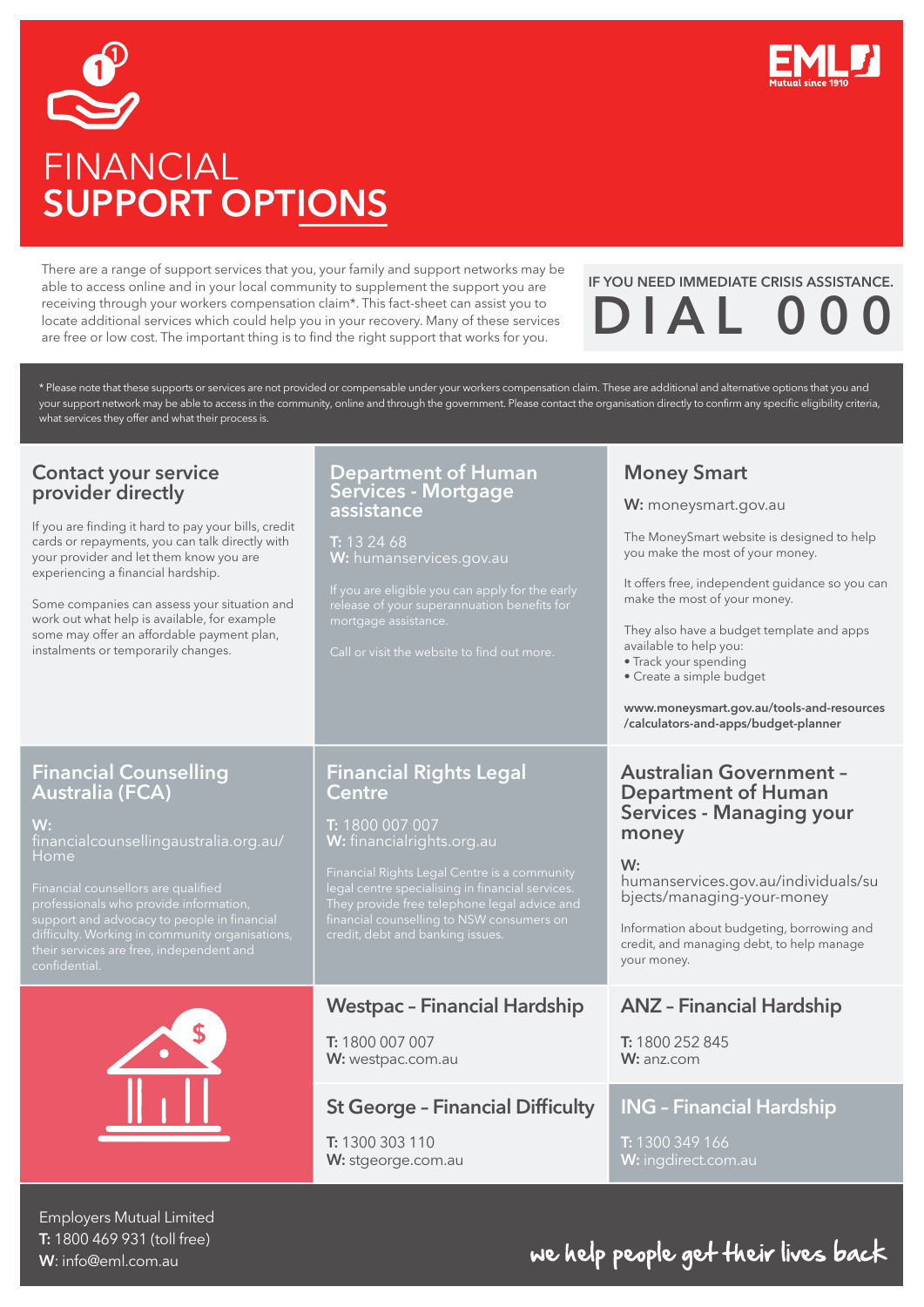



# FINANCIAL SUPPORT OPTIONS

There are a range of support services that you, your family and support networks may be able to access online and in your local community to supplement the support you are receiving through your workers compensation claim\*. This fact-sheet can assist you to locate additional services which could help you in your recovery. Many of these services are free or low cost. The important thing is to find the right support that works for you.

## IF YOU NEED IMMEDIATE CRISIS ASSISTANCE.  $DIAL$

\* Please note that these supports or services are not provided or compensable under your workers compensation claim. These are additional and alternative options that you and your support network may be able to access in the community, online and through the government. Please contact the organisation directly to confirm any specific eligibility criteria, what services they offer and what their process is.

#### Contact your service provider directly

If you are finding it hard to pay your bills, credit cards or repayments, you can talk directly with your provider and let them know you are experiencing a financial hardship.

Some companies can assess your situation and work out what help is available, for example some may offer an affordable payment plan, instalments or temporarily changes.

#### Department of Human Services - Mortgage assistance

W: humanservices.gov.au

## Money Smart

W: <moneysmart.gov.au>

The MoneySmart website is designed to help you make the most of your money.

It offers free, independent guidance so you can make the most of your money.

They also have a budget template and apps available to help you:

- Track your spending
- Create a simple budget

<www.moneysmart.gov.au/tools-and-resources> /calculators-and-apps/budget-planner

#### Australian Government – Department of Human Services - Managing your money

W:

[humanservices.gov.au/individuals/su](humanservices.gov.au/individuals/subjects/managing-your-money) bjects/managing-your-money

Information about budgeting, borrowing and credit, and managing debt, to help manage your money.

### ANZ – Financial Hardship

T: 1800 252 845 W: <anz.com>

## ING – Financial Hardship

T: 1300 349 166 W: <ingdirect.com.au>

#### Financial Counselling Australia (FCA)

W:

<financialcounsellingaustralia.org.au/> Home



### Financial Rights Legal Centre

T: 1800 007 007 W: <financialrights.org.au>

## Westpac – Financial Hardship

T: 1800 007 007 W: <westpac.com.au>

## St George – Financial Difficulty

T: 1300 303 110 W: <stgeorge.com.au>

Employers Mutual Limited T: 1800 469 931 (toll free) W: info@eml.com.au

## we help people get their lives back